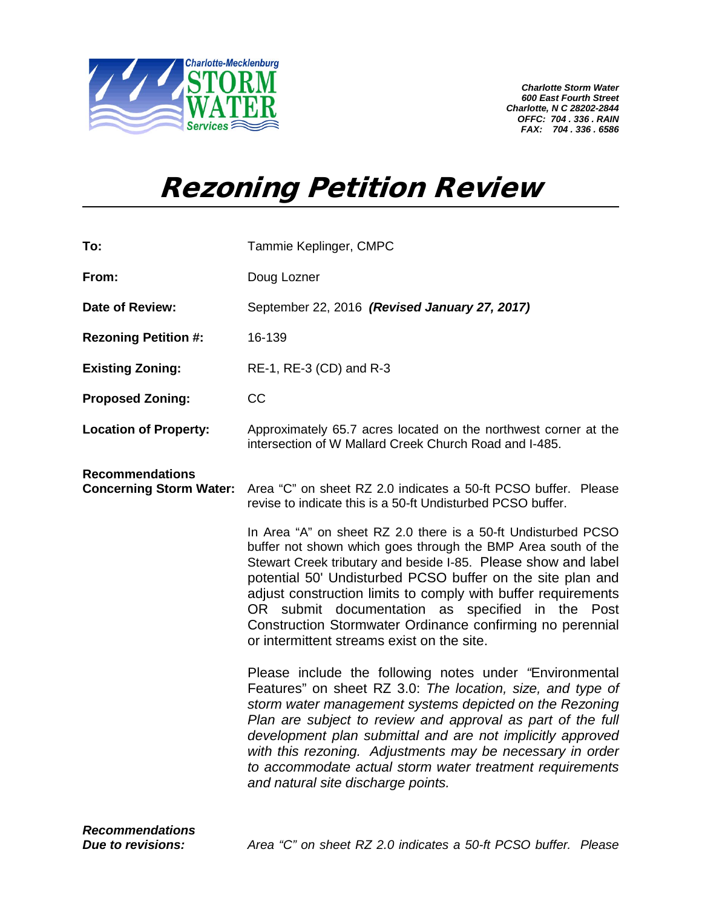

*Charlotte Storm Water 600 East Fourth Street Charlotte, N C 28202-2844 OFFC: 704 . 336 . RAIN FAX: 704 . 336 . 6586*

## Rezoning Petition Review

| To:                                                      | Tammie Keplinger, CMPC                                                                                                                                                                                                                                                                                                                                                                                                                                                                         |
|----------------------------------------------------------|------------------------------------------------------------------------------------------------------------------------------------------------------------------------------------------------------------------------------------------------------------------------------------------------------------------------------------------------------------------------------------------------------------------------------------------------------------------------------------------------|
| From:                                                    | Doug Lozner                                                                                                                                                                                                                                                                                                                                                                                                                                                                                    |
| Date of Review:                                          | September 22, 2016 (Revised January 27, 2017)                                                                                                                                                                                                                                                                                                                                                                                                                                                  |
| <b>Rezoning Petition #:</b>                              | 16-139                                                                                                                                                                                                                                                                                                                                                                                                                                                                                         |
| <b>Existing Zoning:</b>                                  | RE-1, RE-3 (CD) and R-3                                                                                                                                                                                                                                                                                                                                                                                                                                                                        |
| <b>Proposed Zoning:</b>                                  | CC                                                                                                                                                                                                                                                                                                                                                                                                                                                                                             |
| <b>Location of Property:</b>                             | Approximately 65.7 acres located on the northwest corner at the<br>intersection of W Mallard Creek Church Road and I-485.                                                                                                                                                                                                                                                                                                                                                                      |
| <b>Recommendations</b><br><b>Concerning Storm Water:</b> | Area "C" on sheet RZ 2.0 indicates a 50-ft PCSO buffer. Please<br>revise to indicate this is a 50-ft Undisturbed PCSO buffer.                                                                                                                                                                                                                                                                                                                                                                  |
|                                                          | In Area "A" on sheet RZ 2.0 there is a 50-ft Undisturbed PCSO<br>buffer not shown which goes through the BMP Area south of the<br>Stewart Creek tributary and beside I-85. Please show and label<br>potential 50' Undisturbed PCSO buffer on the site plan and<br>adjust construction limits to comply with buffer requirements<br>OR submit documentation as specified in the Post<br>Construction Stormwater Ordinance confirming no perennial<br>or intermittent streams exist on the site. |
|                                                          | Please include the following notes under "Environmental<br>Features" on sheet RZ 3.0: The location, size, and type of<br>storm water management systems depicted on the Rezoning<br>Plan are subject to review and approval as part of the full<br>development plan submittal and are not implicitly approved<br>with this rezoning. Adjustments may be necessary in order<br>to accommodate actual storm water treatment requirements<br>and natural site discharge points.                   |